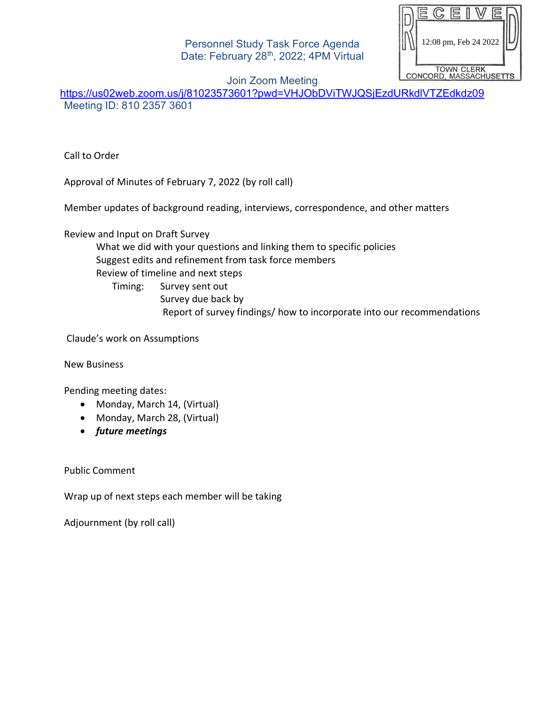Personnel Study Task Force Agenda Date: February 28<sup>th</sup>, 2022; 4PM Virtual

12:08 pm, Feb 24 2022TOWN CLERK<br>CONCORD, MASSACHUSETTS

Join Zoom Meeting

<https://us02web.zoom.us/j/81023573601?pwd=VHJObDViTWJQSjEzdURkdlVTZEdkdz09> Meeting ID: 810 2357 3601

Call to Order

Approval of Minutes of February 7, 2022 (by roll call)

Member updates of background reading, interviews, correspondence, and other matters

Review and Input on Draft Survey

What we did with your questions and linking them to specific policies Suggest edits and refinement from task force members Review of timeline and next steps Timing: Survey sent out Survey due back by

Report of survey findings/ how to incorporate into our recommendations

Claude's work on Assumptions

New Business

Pending meeting dates:

- Monday, March 14, (Virtual)
- Monday, March 28, (Virtual)
- *future meetings*

Public Comment

Wrap up of next steps each member will be taking

Adjournment (by roll call)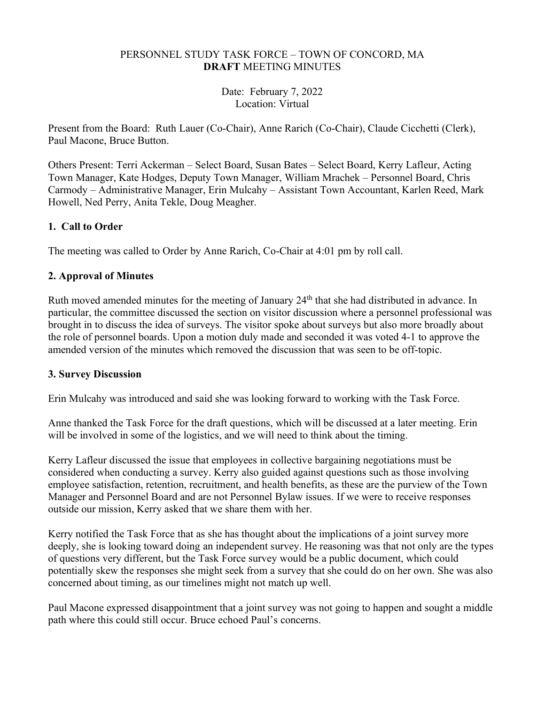## PERSONNEL STUDY TASK FORCE – TOWN OF CONCORD, MA **DRAFT** MEETING MINUTES

Date: February 7, 2022 Location: Virtual

Present from the Board: Ruth Lauer (Co-Chair), Anne Rarich (Co-Chair), Claude Cicchetti (Clerk), Paul Macone, Bruce Button.

Others Present: Terri Ackerman – Select Board, Susan Bates – Select Board, Kerry Lafleur, Acting Town Manager, Kate Hodges, Deputy Town Manager, William Mrachek – Personnel Board, Chris Carmody – Administrative Manager, Erin Mulcahy – Assistant Town Accountant, Karlen Reed, Mark Howell, Ned Perry, Anita Tekle, Doug Meagher.

## **1. Call to Order**

The meeting was called to Order by Anne Rarich, Co-Chair at 4:01 pm by roll call.

## **2. Approval of Minutes**

Ruth moved amended minutes for the meeting of January 24<sup>th</sup> that she had distributed in advance. In particular, the committee discussed the section on visitor discussion where a personnel professional was brought in to discuss the idea of surveys. The visitor spoke about surveys but also more broadly about the role of personnel boards. Upon a motion duly made and seconded it was voted 4-1 to approve the amended version of the minutes which removed the discussion that was seen to be off-topic.

## **3. Survey Discussion**

Erin Mulcahy was introduced and said she was looking forward to working with the Task Force.

Anne thanked the Task Force for the draft questions, which will be discussed at a later meeting. Erin will be involved in some of the logistics, and we will need to think about the timing.

Kerry Lafleur discussed the issue that employees in collective bargaining negotiations must be considered when conducting a survey. Kerry also guided against questions such as those involving employee satisfaction, retention, recruitment, and health benefits, as these are the purview of the Town Manager and Personnel Board and are not Personnel Bylaw issues. If we were to receive responses outside our mission, Kerry asked that we share them with her.

Kerry notified the Task Force that as she has thought about the implications of a joint survey more deeply, she is looking toward doing an independent survey. He reasoning was that not only are the types of questions very different, but the Task Force survey would be a public document, which could potentially skew the responses she might seek from a survey that she could do on her own. She was also concerned about timing, as our timelines might not match up well.

Paul Macone expressed disappointment that a joint survey was not going to happen and sought a middle path where this could still occur. Bruce echoed Paul's concerns.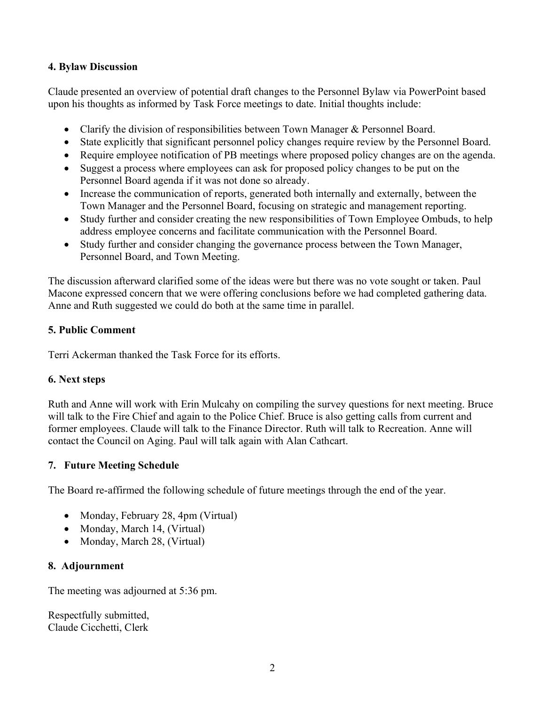#### **4. Bylaw Discussion**

Claude presented an overview of potential draft changes to the Personnel Bylaw via PowerPoint based upon his thoughts as informed by Task Force meetings to date. Initial thoughts include:

- Clarify the division of responsibilities between Town Manager & Personnel Board.
- State explicitly that significant personnel policy changes require review by the Personnel Board.
- Require employee notification of PB meetings where proposed policy changes are on the agenda.
- Suggest a process where employees can ask for proposed policy changes to be put on the Personnel Board agenda if it was not done so already.
- Increase the communication of reports, generated both internally and externally, between the Town Manager and the Personnel Board, focusing on strategic and management reporting.
- Study further and consider creating the new responsibilities of Town Employee Ombuds, to help address employee concerns and facilitate communication with the Personnel Board.
- Study further and consider changing the governance process between the Town Manager, Personnel Board, and Town Meeting.

The discussion afterward clarified some of the ideas were but there was no vote sought or taken. Paul Macone expressed concern that we were offering conclusions before we had completed gathering data. Anne and Ruth suggested we could do both at the same time in parallel.

## **5. Public Comment**

Terri Ackerman thanked the Task Force for its efforts.

# **6. Next steps**

Ruth and Anne will work with Erin Mulcahy on compiling the survey questions for next meeting. Bruce will talk to the Fire Chief and again to the Police Chief. Bruce is also getting calls from current and former employees. Claude will talk to the Finance Director. Ruth will talk to Recreation. Anne will contact the Council on Aging. Paul will talk again with Alan Cathcart.

# **7. Future Meeting Schedule**

The Board re-affirmed the following schedule of future meetings through the end of the year.

- Monday, February 28, 4pm (Virtual)
- Monday, March 14, (Virtual)
- Monday, March 28, (Virtual)

# **8. Adjournment**

The meeting was adjourned at 5:36 pm.

Respectfully submitted, Claude Cicchetti, Clerk